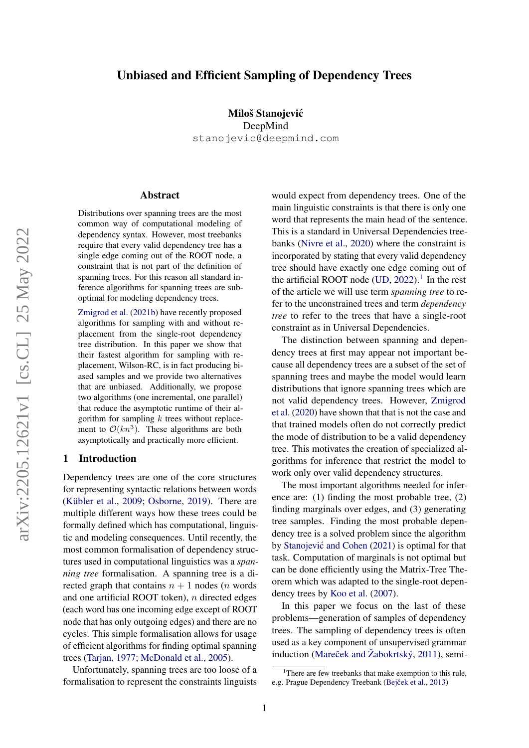# arXiv:2205.12621v1 [cs.CL] 25 May 2022 arXiv:2205.12621v1 [cs.CL] 25 May 2022

# Unbiased and Efficient Sampling of Dependency Trees

Miloš Stanojevic´ DeepMind stanojevic@deepmind.com

#### Abstract

Distributions over spanning trees are the most common way of computational modeling of dependency syntax. However, most treebanks require that every valid dependency tree has a single edge coming out of the ROOT node, a constraint that is not part of the definition of spanning trees. For this reason all standard inference algorithms for spanning trees are suboptimal for modeling dependency trees.

[Zmigrod et al.](#page-10-0) [\(2021b\)](#page-10-0) have recently proposed algorithms for sampling with and without replacement from the single-root dependency tree distribution. In this paper we show that their fastest algorithm for sampling with replacement, Wilson-RC, is in fact producing biased samples and we provide two alternatives that are unbiased. Additionally, we propose two algorithms (one incremental, one parallel) that reduce the asymptotic runtime of their algorithm for sampling  $k$  trees without replacement to  $\mathcal{O}(kn^3)$ . These algorithms are both asymptotically and practically more efficient.

### 1 Introduction

Dependency trees are one of the core structures for representing syntactic relations between words [\(Kübler et al.,](#page-9-0) [2009;](#page-9-0) [Osborne,](#page-9-1) [2019\)](#page-9-1). There are multiple different ways how these trees could be formally defined which has computational, linguistic and modeling consequences. Until recently, the most common formalisation of dependency structures used in computational linguistics was a *spanning tree* formalisation. A spanning tree is a directed graph that contains  $n + 1$  nodes (*n* words and one artificial ROOT token), n directed edges (each word has one incoming edge except of ROOT node that has only outgoing edges) and there are no cycles. This simple formalisation allows for usage of efficient algorithms for finding optimal spanning trees (Tarian, [1977;](#page-10-1) [McDonald et al.,](#page-9-2) [2005\)](#page-9-2).

Unfortunately, spanning trees are too loose of a formalisation to represent the constraints linguists would expect from dependency trees. One of the main linguistic constraints is that there is only one word that represents the main head of the sentence. This is a standard in Universal Dependencies treebanks [\(Nivre et al.,](#page-9-3) [2020\)](#page-9-3) where the constraint is incorporated by stating that every valid dependency tree should have exactly one edge coming out of the artificial ROOT node  $(UD, 2022)$  $(UD, 2022)$  $(UD, 2022)$ .<sup>[1](#page-0-0)</sup> In the rest of the article we will use term *spanning tree* to refer to the unconstrained trees and term *dependency tree* to refer to the trees that have a single-root constraint as in Universal Dependencies.

The distinction between spanning and dependency trees at first may appear not important because all dependency trees are a subset of the set of spanning trees and maybe the model would learn distributions that ignore spanning trees which are not valid dependency trees. However, [Zmigrod](#page-10-3) [et al.](#page-10-3) [\(2020\)](#page-10-3) have shown that that is not the case and that trained models often do not correctly predict the mode of distribution to be a valid dependency tree. This motivates the creation of specialized algorithms for inference that restrict the model to work only over valid dependency structures.

The most important algorithms needed for inference are: (1) finding the most probable tree, (2) finding marginals over edges, and (3) generating tree samples. Finding the most probable dependency tree is a solved problem since the algorithm by Stanojević and Cohen [\(2021\)](#page-10-4) is optimal for that task. Computation of marginals is not optimal but can be done efficiently using the Matrix-Tree Theorem which was adapted to the single-root dependency trees by [Koo et al.](#page-9-4) [\(2007\)](#page-9-4).

In this paper we focus on the last of these problems—generation of samples of dependency trees. The sampling of dependency trees is often used as a key component of unsupervised grammar induction (Mareček and Žabokrtský,  $2011$ ), semi-

<span id="page-0-0"></span><sup>&</sup>lt;sup>1</sup>There are few treebanks that make exemption to this rule, e.g. Prague Dependency Treebank (Bejček et al., [2013\)](#page-8-0)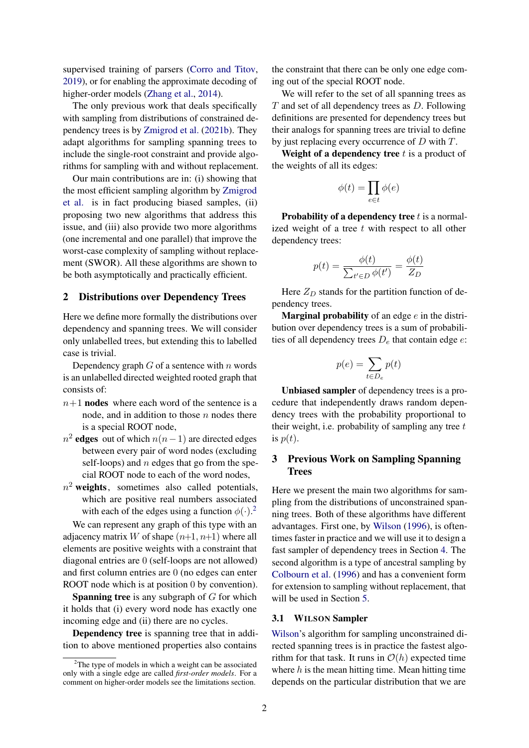supervised training of parsers [\(Corro and Titov,](#page-8-1) [2019\)](#page-8-1), or for enabling the approximate decoding of higher-order models [\(Zhang et al.,](#page-10-5) [2014\)](#page-10-5).

The only previous work that deals specifically with sampling from distributions of constrained dependency trees is by [Zmigrod et al.](#page-10-0) [\(2021b\)](#page-10-0). They adapt algorithms for sampling spanning trees to include the single-root constraint and provide algorithms for sampling with and without replacement.

Our main contributions are in: (i) showing that the most efficient sampling algorithm by [Zmigrod](#page-10-0) [et al.](#page-10-0) is in fact producing biased samples, (ii) proposing two new algorithms that address this issue, and (iii) also provide two more algorithms (one incremental and one parallel) that improve the worst-case complexity of sampling without replacement (SWOR). All these algorithms are shown to be both asymptotically and practically efficient.

# 2 Distributions over Dependency Trees

Here we define more formally the distributions over dependency and spanning trees. We will consider only unlabelled trees, but extending this to labelled case is trivial.

Dependency graph  $G$  of a sentence with  $n$  words is an unlabelled directed weighted rooted graph that consists of:

- $n+1$  nodes where each word of the sentence is a node, and in addition to those  $n$  nodes there is a special ROOT node,
- $n^2$  edges out of which  $n(n-1)$  are directed edges between every pair of word nodes (excluding self-loops) and  $n$  edges that go from the special ROOT node to each of the word nodes,
- $n^2$  weights, sometimes also called potentials, which are positive real numbers associated with each of the edges using a function  $\phi(\cdot)$ .<sup>[2](#page-1-0)</sup>

We can represent any graph of this type with an adjacency matrix W of shape  $(n+1, n+1)$  where all elements are positive weights with a constraint that diagonal entries are 0 (self-loops are not allowed) and first column entries are 0 (no edges can enter ROOT node which is at position 0 by convention).

**Spanning tree** is any subgraph of  $G$  for which it holds that (i) every word node has exactly one incoming edge and (ii) there are no cycles.

Dependency tree is spanning tree that in addition to above mentioned properties also contains

the constraint that there can be only one edge coming out of the special ROOT node.

We will refer to the set of all spanning trees as  $T$  and set of all dependency trees as  $D$ . Following definitions are presented for dependency trees but their analogs for spanning trees are trivial to define by just replacing every occurrence of D with T.

Weight of a dependency tree  $t$  is a product of the weights of all its edges:

$$
\phi(t)=\prod_{e\in t}\phi(e)
$$

**Probability of a dependency tree**  $t$  is a normalized weight of a tree  $t$  with respect to all other dependency trees:

$$
p(t) = \frac{\phi(t)}{\sum_{t' \in D} \phi(t')} = \frac{\phi(t)}{Z_D}
$$

Here  $Z_D$  stands for the partition function of dependency trees.

**Marginal probability** of an edge  $e$  in the distribution over dependency trees is a sum of probabilities of all dependency trees  $D_e$  that contain edge  $e$ :

$$
p(e) = \sum_{t \in D_e} p(t)
$$

Unbiased sampler of dependency trees is a procedure that independently draws random dependency trees with the probability proportional to their weight, i.e. probability of sampling any tree  $t$ is  $p(t)$ .

# 3 Previous Work on Sampling Spanning Trees

Here we present the main two algorithms for sampling from the distributions of unconstrained spanning trees. Both of these algorithms have different advantages. First one, by [Wilson](#page-10-6) [\(1996\)](#page-10-6), is oftentimes faster in practice and we will use it to design a fast sampler of dependency trees in Section [4.](#page-2-0) The second algorithm is a type of ancestral sampling by [Colbourn et al.](#page-8-2) [\(1996\)](#page-8-2) and has a convenient form for extension to sampling without replacement, that will be used in Section [5.](#page-5-0)

#### 3.1 WILSON Sampler

[Wilson'](#page-10-6)s algorithm for sampling unconstrained directed spanning trees is in practice the fastest algorithm for that task. It runs in  $\mathcal{O}(h)$  expected time where  $h$  is the mean hitting time. Mean hitting time depends on the particular distribution that we are

<span id="page-1-0"></span> $2$ The type of models in which a weight can be associated only with a single edge are called *first-order models*. For a comment on higher-order models see the limitations section.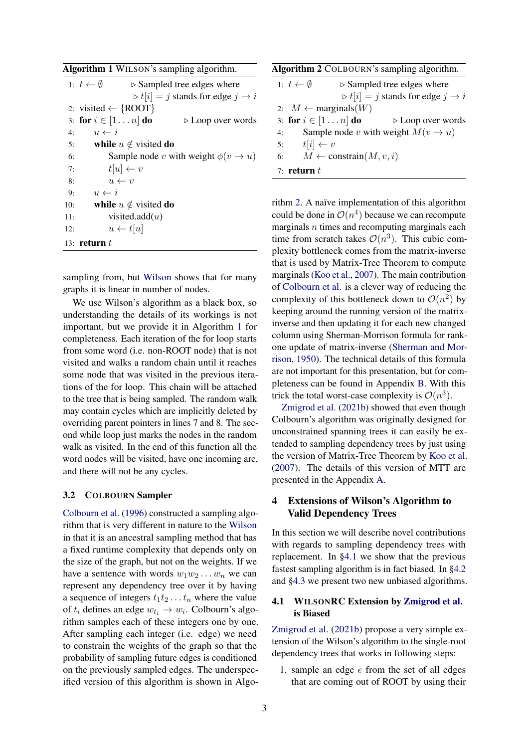<span id="page-2-1"></span>

| Algorithm 1 WILSON's sampling algorithm. |  |  |  |  |
|------------------------------------------|--|--|--|--|
|------------------------------------------|--|--|--|--|

|     | 1: $t \leftarrow \emptyset$<br>$\triangleright$ Sampled tree edges where |
|-----|--------------------------------------------------------------------------|
|     | $\triangleright t[i] = j$ stands for edge $j \rightarrow i$              |
|     | 2: visited $\leftarrow \{$ ROOT $\}$                                     |
|     | 3: for $i \in [1n]$ do<br>$\triangleright$ Loop over words               |
| 4:  | $u \leftarrow i$                                                         |
| 5:  | while $u \notin$ visited do                                              |
| 6:  | Sample node v with weight $\phi(v \rightarrow u)$                        |
| 7:  | $t[u] \leftarrow v$                                                      |
| 8:  | $u \leftarrow v$                                                         |
| 9:  | $u \leftarrow i$                                                         |
| 10: | while $u \notin$ visited do                                              |
| 11: | visited.add $(u)$                                                        |
| 12: | $u \leftarrow t[u]$                                                      |
|     | 13: return $t$                                                           |

sampling from, but [Wilson](#page-10-6) shows that for many graphs it is linear in number of nodes.

We use Wilson's algorithm as a black box, so understanding the details of its workings is not important, but we provide it in Algorithm [1](#page-2-1) for completeness. Each iteration of the for loop starts from some word (i.e. non-ROOT node) that is not visited and walks a random chain until it reaches some node that was visited in the previous iterations of the for loop. This chain will be attached to the tree that is being sampled. The random walk may contain cycles which are implicitly deleted by overriding parent pointers in lines 7 and 8. The second while loop just marks the nodes in the random walk as visited. In the end of this function all the word nodes will be visited, have one incoming arc, and there will not be any cycles.

#### <span id="page-2-4"></span>3.2 COLBOURN Sampler

[Colbourn et al.](#page-8-2) [\(1996\)](#page-8-2) constructed a sampling algorithm that is very different in nature to the [Wilson](#page-10-6) in that it is an ancestral sampling method that has a fixed runtime complexity that depends only on the size of the graph, but not on the weights. If we have a sentence with words  $w_1w_2 \ldots w_n$  we can represent any dependency tree over it by having a sequence of integers  $t_1t_2 \ldots t_n$  where the value of  $t_i$  defines an edge  $w_{t_i} \to w_i$ . Colbourn's algorithm samples each of these integers one by one. After sampling each integer (i.e. edge) we need to constrain the weights of the graph so that the probability of sampling future edges is conditioned on the previously sampled edges. The underspecified version of this algorithm is shown in Algo-

<span id="page-2-2"></span>

| <b>Algorithm 2 COLBOURN's sampling algorithm.</b>    |                                           |                                                             |  |  |
|------------------------------------------------------|-------------------------------------------|-------------------------------------------------------------|--|--|
| 1: $t \leftarrow \emptyset$                          | $\triangleright$ Sampled tree edges where |                                                             |  |  |
|                                                      |                                           | $\triangleright t[i] = j$ stands for edge $j \rightarrow i$ |  |  |
| 2: $M \leftarrow$ marginals(W)                       |                                           |                                                             |  |  |
| 3: for $i \in [1n]$ do                               |                                           | $\triangleright$ Loop over words                            |  |  |
| Sample node v with weight $M(v \rightarrow u)$<br>4: |                                           |                                                             |  |  |
| $t[i] \leftarrow v$<br>5:                            |                                           |                                                             |  |  |
| 6:                                                   | $M \leftarrow \text{constraint}(M, v, i)$ |                                                             |  |  |
| 7: return $t$                                        |                                           |                                                             |  |  |
|                                                      |                                           |                                                             |  |  |

rithm [2.](#page-2-2) A naïve implementation of this algorithm could be done in  $\mathcal{O}(n^4)$  because we can recompute marginals  $n$  times and recomputing marginals each time from scratch takes  $\mathcal{O}(n^3)$ . This cubic complexity bottleneck comes from the matrix-inverse that is used by Matrix-Tree Theorem to compute marginals [\(Koo et al.,](#page-9-4) [2007\)](#page-9-4). The main contribution of [Colbourn et al.](#page-8-2) is a clever way of reducing the complexity of this bottleneck down to  $\mathcal{O}(n^2)$  by keeping around the running version of the matrixinverse and then updating it for each new changed column using Sherman-Morrison formula for rankone update of matrix-inverse [\(Sherman and Mor](#page-10-7)[rison,](#page-10-7) [1950\)](#page-10-7). The technical details of this formula are not important for this presentation, but for completeness can be found in Appendix [B.](#page-12-0) With this trick the total worst-case complexity is  $\mathcal{O}(n^3)$ .

[Zmigrod et al.](#page-10-0) [\(2021b\)](#page-10-0) showed that even though Colbourn's algorithm was originally designed for unconstrained spanning trees it can easily be extended to sampling dependency trees by just using the version of Matrix-Tree Theorem by [Koo et al.](#page-9-4) [\(2007\)](#page-9-4). The details of this version of MTT are presented in the Appendix [A.](#page-11-0)

# <span id="page-2-0"></span>4 Extensions of Wilson's Algorithm to Valid Dependency Trees

In this section we will describe novel contributions with regards to sampling dependency trees with replacement. In [§4.1](#page-2-3) we show that the previous fastest sampling algorithm is in fact biased. In [§4.2](#page-3-0) and [§4.3](#page-3-1) we present two new unbiased algorithms.

# <span id="page-2-3"></span>4.1 WILSONRC Extension by [Zmigrod et al.](#page-10-0) is Biased

[Zmigrod et al.](#page-10-0) [\(2021b\)](#page-10-0) propose a very simple extension of the Wilson's algorithm to the single-root dependency trees that works in following steps:

1. sample an edge e from the set of all edges that are coming out of ROOT by using their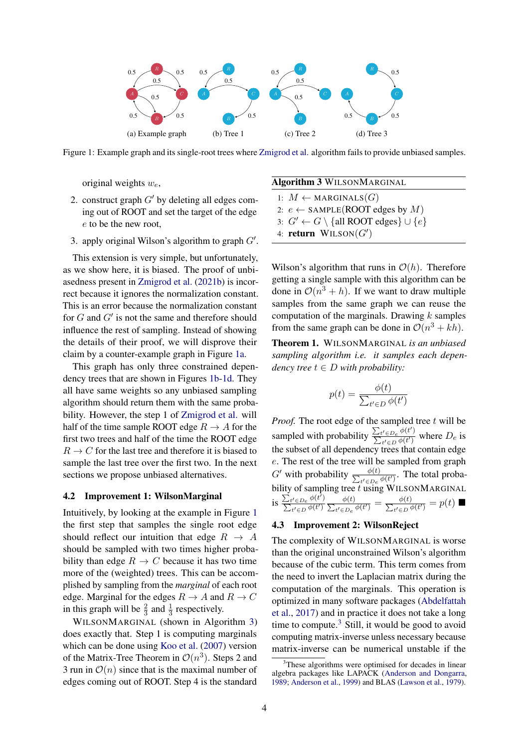<span id="page-3-2"></span>

Figure 1: Example graph and its single-root trees where [Zmigrod et al.](#page-10-0) algorithm fails to provide unbiased samples.

original weights  $w_e$ ,

- 2. construct graph  $G'$  by deleting all edges coming out of ROOT and set the target of the edge e to be the new root,
- 3. apply original Wilson's algorithm to graph  $G'$ .

This extension is very simple, but unfortunately, as we show here, it is biased. The proof of unbiasedness present in [Zmigrod et al.](#page-10-0) [\(2021b\)](#page-10-0) is incorrect because it ignores the normalization constant. This is an error because the normalization constant for  $G$  and  $G'$  is not the same and therefore should influence the rest of sampling. Instead of showing the details of their proof, we will disprove their claim by a counter-example graph in Figure [1a.](#page-3-2)

This graph has only three constrained dependency trees that are shown in Figures [1b-1d.](#page-3-2) They all have same weights so any unbiased sampling algorithm should return them with the same probability. However, the step 1 of [Zmigrod et al.](#page-10-0) will half of the time sample ROOT edge  $R \to A$  for the first two trees and half of the time the ROOT edge  $R \to C$  for the last tree and therefore it is biased to sample the last tree over the first two. In the next sections we propose unbiased alternatives.

#### <span id="page-3-0"></span>4.2 Improvement 1: WilsonMarginal

Intuitively, by looking at the example in Figure [1](#page-3-2) the first step that samples the single root edge should reflect our intuition that edge  $R \rightarrow A$ should be sampled with two times higher probability than edge  $R \to C$  because it has two time more of the (weighted) trees. This can be accomplished by sampling from the *marginal* of each root edge. Marginal for the edges  $R \to A$  and  $R \to C$ in this graph will be  $\frac{2}{3}$  and  $\frac{1}{3}$  respectively.

WILSONMARGINAL (shown in Algorithm [3\)](#page-3-3) does exactly that. Step 1 is computing marginals which can be done using [Koo et al.](#page-9-4) [\(2007\)](#page-9-4) version of the Matrix-Tree Theorem in  $\mathcal{O}(n^3)$ . Steps 2 and 3 run in  $\mathcal{O}(n)$  since that is the maximal number of edges coming out of ROOT. Step 4 is the standard

#### <span id="page-3-3"></span>Algorithm 3 WILSONMARGINAL

1:  $M \leftarrow \text{MARGINALS}(G)$ 2:  $e \leftarrow$  SAMPLE(ROOT edges by M)

- 3:  $G' \leftarrow G \setminus \{all \, ROOT \, edges\} \cup \{e\}$
- 4: return  $WILSON(G')$

Wilson's algorithm that runs in  $\mathcal{O}(h)$ . Therefore getting a single sample with this algorithm can be done in  $\mathcal{O}(n^3 + h)$ . If we want to draw multiple samples from the same graph we can reuse the computation of the marginals. Drawing  $k$  samples from the same graph can be done in  $\mathcal{O}(n^3 + kh)$ .

Theorem 1. WILSONMARGINAL *is an unbiased sampling algorithm i.e. it samples each dependency tree*  $t \in D$  *with probability:* 

<span id="page-3-5"></span>
$$
p(t) = \frac{\phi(t)}{\sum_{t' \in D} \phi(t')}
$$

*Proof.* The root edge of the sampled tree t will be sampled with probability  $\frac{\sum_{t' \in D_e} \phi(t')}{\sum_{t'} \phi(t')}$  $\frac{\sum_{t' \in D_e} \varphi(t')}{\sum_{t' \in D} \varphi(t')}$  where  $D_e$  is the subset of all dependency trees that contain edge e. The rest of the tree will be sampled from graph  $G'$  with probability  $\frac{\phi(t)}{\sum_{t' \in D_{\tau}}}$  $\frac{\varphi(t)}{t' \in D_e}$   $\phi(t')$ . The total probability of sampling tree  $t$  using WILSONMARGINAL is  $\frac{\sum_{t' \in D_e} \phi(t')}{\sum_{t} \phi(t')}$  $\sum_{t' \in D} \phi(t') \sum$  $\phi(t)$  $\frac{\phi(t)}{t'\in D_e}\frac{\phi(t')}{\phi(t')}=\frac{\phi(t)}{\sum_{t'\in D} \phi(t)}$  $\frac{\phi(t)}{t'\in D}\frac{\phi(t')}{\phi(t')} = p(t)$ 

#### <span id="page-3-1"></span>4.3 Improvement 2: WilsonReject

The complexity of WILSONMARGINAL is worse than the original unconstrained Wilson's algorithm because of the cubic term. This term comes from the need to invert the Laplacian matrix during the computation of the marginals. This operation is optimized in many software packages [\(Abdelfattah](#page-8-3) [et al.,](#page-8-3) [2017\)](#page-8-3) and in practice it does not take a long time to compute. $3$  Still, it would be good to avoid computing matrix-inverse unless necessary because matrix-inverse can be numerical unstable if the

<span id="page-3-4"></span><sup>&</sup>lt;sup>3</sup>These algorithms were optimised for decades in linear algebra packages like LAPACK [\(Anderson and Dongarra,](#page-8-4) [1989;](#page-8-4) [Anderson et al.,](#page-8-5) [1999\)](#page-8-5) and BLAS [\(Lawson et al.,](#page-9-6) [1979\)](#page-9-6).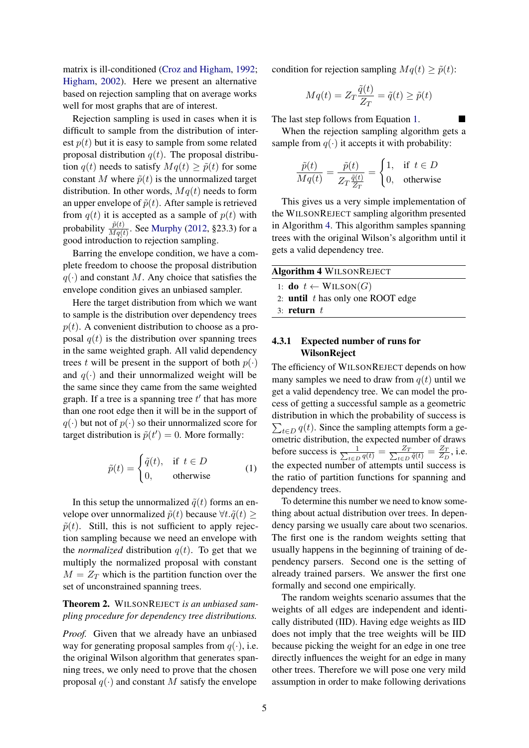matrix is ill-conditioned [\(Croz and Higham,](#page-9-7) [1992;](#page-9-7) [Higham,](#page-9-8) [2002\)](#page-9-8). Here we present an alternative based on rejection sampling that on average works well for most graphs that are of interest.

Rejection sampling is used in cases when it is difficult to sample from the distribution of interest  $p(t)$  but it is easy to sample from some related proposal distribution  $q(t)$ . The proposal distribution  $q(t)$  needs to satisfy  $Mq(t) > \tilde{p}(t)$  for some constant M where  $\tilde{p}(t)$  is the unnormalized target distribution. In other words,  $Mq(t)$  needs to form an upper envelope of  $\tilde{p}(t)$ . After sample is retrieved from  $q(t)$  it is accepted as a sample of  $p(t)$  with probability  $\frac{\tilde{p}(t)}{Mq(t)}$ . See [Murphy](#page-9-9) [\(2012,](#page-9-9) §23.3) for a good introduction to rejection sampling.

Barring the envelope condition, we have a complete freedom to choose the proposal distribution  $q(\cdot)$  and constant M. Any choice that satisfies the envelope condition gives an unbiased sampler.

Here the target distribution from which we want to sample is the distribution over dependency trees  $p(t)$ . A convenient distribution to choose as a proposal  $q(t)$  is the distribution over spanning trees in the same weighted graph. All valid dependency trees t will be present in the support of both  $p(\cdot)$ and  $q(\cdot)$  and their unnormalized weight will be the same since they came from the same weighted graph. If a tree is a spanning tree  $t'$  that has more than one root edge then it will be in the support of  $q(\cdot)$  but not of  $p(\cdot)$  so their unnormalized score for target distribution is  $\tilde{p}(t') = 0$ . More formally:

$$
\tilde{p}(t) = \begin{cases} \tilde{q}(t), & \text{if } t \in D \\ 0, & \text{otherwise} \end{cases}
$$
 (1)

In this setup the unnormalized  $\tilde{q}(t)$  forms an envelope over unnormalized  $\tilde{p}(t)$  because  $\forall t.\tilde{q}(t) \geq$  $\tilde{p}(t)$ . Still, this is not sufficient to apply rejection sampling because we need an envelope with the *normalized* distribution  $q(t)$ . To get that we multiply the normalized proposal with constant  $M = Z_T$  which is the partition function over the set of unconstrained spanning trees.

Theorem 2. WILSONREJECT *is an unbiased sampling procedure for dependency tree distributions.*

*Proof.* Given that we already have an unbiased way for generating proposal samples from  $q(\cdot)$ , i.e. the original Wilson algorithm that generates spanning trees, we only need to prove that the chosen proposal  $q(\cdot)$  and constant M satisfy the envelope

condition for rejection sampling  $Mq(t) \geq \tilde{p}(t)$ :

$$
Mq(t) = Z_T \frac{\tilde{q}(t)}{Z_T} = \tilde{q}(t) \ge \tilde{p}(t)
$$

The last step follows from Equation [1.](#page-3-5)

When the rejection sampling algorithm gets a sample from  $q(\cdot)$  it accepts it with probability:

$$
\frac{\tilde{p}(t)}{Mq(t)} = \frac{\tilde{p}(t)}{Z_T \frac{\tilde{q}(t)}{Z_T}} = \begin{cases} 1, & \text{if } t \in D \\ 0, & \text{otherwise} \end{cases}
$$

This gives us a very simple implementation of the WILSONREJECT sampling algorithm presented in Algorithm [4.](#page-4-0) This algorithm samples spanning trees with the original Wilson's algorithm until it gets a valid dependency tree.

<span id="page-4-0"></span>

| <b>Algorithm 4 WILSONREJECT</b>              |  |  |
|----------------------------------------------|--|--|
| 1: <b>do</b> $t \leftarrow \text{WILSON}(G)$ |  |  |
| 2: <b>until</b> $t$ has only one ROOT edge   |  |  |
| $3:$ return $t$                              |  |  |

## <span id="page-4-1"></span>4.3.1 Expected number of runs for WilsonReject

The efficiency of WILSONREJECT depends on how many samples we need to draw from  $q(t)$  until we get a valid dependency tree. We can model the process of getting a successful sample as a geometric distribution in which the probability of success is  $\sum_{t \in D} q(t)$ . Since the sampling attempts form a geometric distribution, the expected number of draws before success is  $\frac{1}{\sum_{t \in D} q(t)} = \frac{Z_T}{\sum_{t \in D} \tilde{q}(t)} = \frac{Z_T}{Z_L}$  $rac{\Delta_T}{Z_D}$ , i.e. the expected number of attempts until success is the ratio of partition functions for spanning and dependency trees.

To determine this number we need to know something about actual distribution over trees. In dependency parsing we usually care about two scenarios. The first one is the random weights setting that usually happens in the beginning of training of dependency parsers. Second one is the setting of already trained parsers. We answer the first one formally and second one empirically.

The random weights scenario assumes that the weights of all edges are independent and identically distributed (IID). Having edge weights as IID does not imply that the tree weights will be IID because picking the weight for an edge in one tree directly influences the weight for an edge in many other trees. Therefore we will pose one very mild assumption in order to make following derivations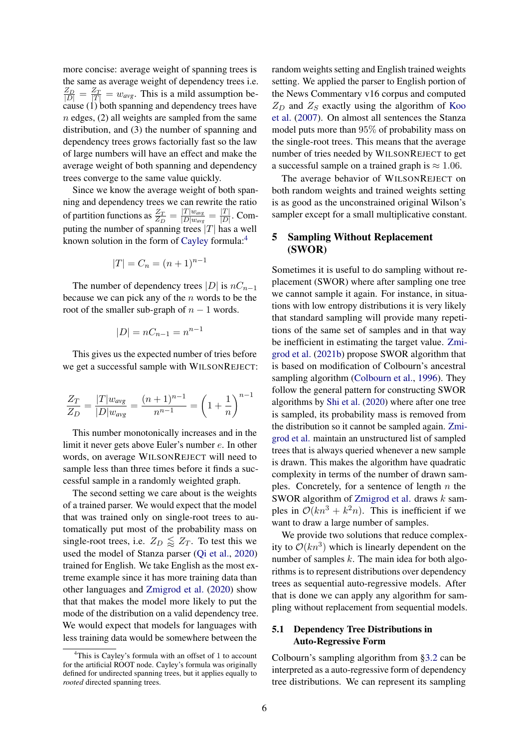more concise: average weight of spanning trees is the same as average weight of dependency trees i.e.  $\frac{Z_D}{|D|} = \frac{Z_T}{|T|} = w_{avg}$ . This is a mild assumption because  $(1)$  both spanning and dependency trees have  $n$  edges, (2) all weights are sampled from the same distribution, and (3) the number of spanning and dependency trees grows factorially fast so the law of large numbers will have an effect and make the average weight of both spanning and dependency trees converge to the same value quickly.

Since we know the average weight of both spanning and dependency trees we can rewrite the ratio of partition functions as  $\frac{Z_T}{Z_D} = \frac{|T|w_{avg}}{|D|w_{avg}}$  $\frac{|T|w_{avg}}{|D|w_{avg}} = \frac{|T|}{|D|}$  $\frac{|I|}{|D|}$ . Computing the number of spanning trees  $|T|$  has a well known solution in the form of [Cayley](#page-8-6) formula:[4](#page-5-1)

$$
|T| = C_n = (n+1)^{n-1}
$$

The number of dependency trees |D| is  $nC_{n-1}$ because we can pick any of the  $n$  words to be the root of the smaller sub-graph of  $n - 1$  words.

$$
|D| = nC_{n-1} = n^{n-1}
$$

This gives us the expected number of tries before we get a successful sample with WILSONREJECT:

$$
\frac{Z_T}{Z_D} = \frac{|T|w_{avg}}{|D|w_{avg}} = \frac{(n+1)^{n-1}}{n^{n-1}} = \left(1 + \frac{1}{n}\right)^{n-1}
$$

This number monotonically increases and in the limit it never gets above Euler's number e. In other words, on average WILSONREJECT will need to sample less than three times before it finds a successful sample in a randomly weighted graph.

The second setting we care about is the weights of a trained parser. We would expect that the model that was trained only on single-root trees to automatically put most of the probability mass on single-root trees, i.e.  $Z_D \leq Z_T$ . To test this we used the model of Stanza parser [\(Qi et al.,](#page-9-10) [2020\)](#page-9-10) trained for English. We take English as the most extreme example since it has more training data than other languages and [Zmigrod et al.](#page-10-3) [\(2020\)](#page-10-3) show that that makes the model more likely to put the mode of the distribution on a valid dependency tree. We would expect that models for languages with less training data would be somewhere between the

random weights setting and English trained weights setting. We applied the parser to English portion of the News Commentary v16 corpus and computed  $Z_D$  and  $Z_S$  exactly using the algorithm of [Koo](#page-9-4) [et al.](#page-9-4) [\(2007\)](#page-9-4). On almost all sentences the Stanza model puts more than 95% of probability mass on the single-root trees. This means that the average number of tries needed by WILSONREJECT to get a successful sample on a trained graph is  $\approx 1.06$ .

The average behavior of WILSONREJECT on both random weights and trained weights setting is as good as the unconstrained original Wilson's sampler except for a small multiplicative constant.

# <span id="page-5-0"></span>5 Sampling Without Replacement (SWOR)

Sometimes it is useful to do sampling without replacement (SWOR) where after sampling one tree we cannot sample it again. For instance, in situations with low entropy distributions it is very likely that standard sampling will provide many repetitions of the same set of samples and in that way be inefficient in estimating the target value. [Zmi](#page-10-0)[grod et al.](#page-10-0) [\(2021b\)](#page-10-0) propose SWOR algorithm that is based on modification of Colbourn's ancestral sampling algorithm [\(Colbourn et al.,](#page-8-2) [1996\)](#page-8-2). They follow the general pattern for constructing SWOR algorithms by [Shi et al.](#page-10-8) [\(2020\)](#page-10-8) where after one tree is sampled, its probability mass is removed from the distribution so it cannot be sampled again. [Zmi](#page-10-0)[grod et al.](#page-10-0) maintain an unstructured list of sampled trees that is always queried whenever a new sample is drawn. This makes the algorithm have quadratic complexity in terms of the number of drawn samples. Concretely, for a sentence of length  $n$  the SWOR algorithm of [Zmigrod et al.](#page-10-0) draws  $k$  samples in  $O(kn^3 + k^2n)$ . This is inefficient if we want to draw a large number of samples.

We provide two solutions that reduce complexity to  $O(kn^3)$  which is linearly dependent on the number of samples  $k$ . The main idea for both algorithms is to represent distributions over dependency trees as sequential auto-regressive models. After that is done we can apply any algorithm for sampling without replacement from sequential models.

# 5.1 Dependency Tree Distributions in Auto-Regressive Form

Colbourn's sampling algorithm from [§3.2](#page-2-4) can be interpreted as a auto-regressive form of dependency tree distributions. We can represent its sampling

<span id="page-5-1"></span><sup>&</sup>lt;sup>4</sup>This is Cayley's formula with an offset of 1 to account for the artificial ROOT node. Cayley's formula was originally defined for undirected spanning trees, but it applies equally to *rooted* directed spanning trees.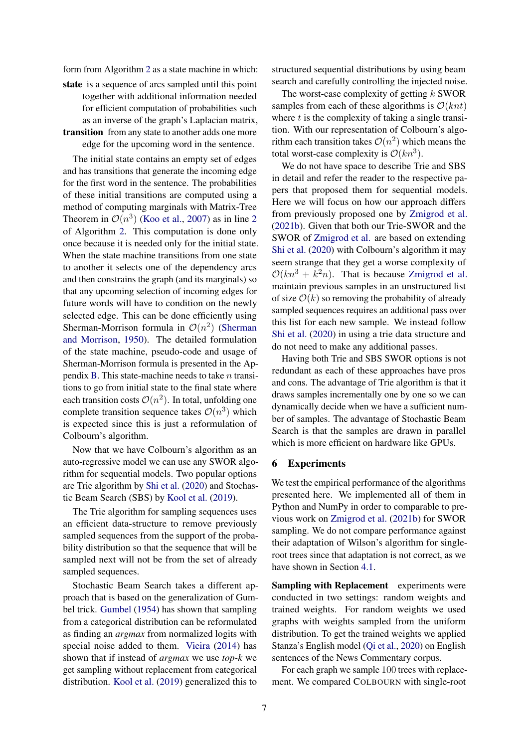form from Algorithm [2](#page-2-2) as a state machine in which:

state is a sequence of arcs sampled until this point together with additional information needed for efficient computation of probabilities such as an inverse of the graph's Laplacian matrix, transition from any state to another adds one more

edge for the upcoming word in the sentence.

The initial state contains an empty set of edges and has transitions that generate the incoming edge for the first word in the sentence. The probabilities of these initial transitions are computed using a method of computing marginals with Matrix-Tree Theorem in  $\mathcal{O}(n^3)$  [\(Koo et al.,](#page-9-4) [2007\)](#page-9-4) as in line [2](#page-2-2) of Algorithm [2.](#page-2-2) This computation is done only once because it is needed only for the initial state. When the state machine transitions from one state to another it selects one of the dependency arcs and then constrains the graph (and its marginals) so that any upcoming selection of incoming edges for future words will have to condition on the newly selected edge. This can be done efficiently using Sherman-Morrison formula in  $\mathcal{O}(n^2)$  [\(Sherman](#page-10-7) [and Morrison,](#page-10-7) [1950\)](#page-10-7). The detailed formulation of the state machine, pseudo-code and usage of Sherman-Morrison formula is presented in the Ap-pendix [B.](#page-12-0) This state-machine needs to take  $n$  transitions to go from initial state to the final state where each transition costs  $\mathcal{O}(n^2)$ . In total, unfolding one complete transition sequence takes  $\mathcal{O}(n^3)$  which is expected since this is just a reformulation of Colbourn's algorithm.

Now that we have Colbourn's algorithm as an auto-regressive model we can use any SWOR algorithm for sequential models. Two popular options are Trie algorithm by [Shi et al.](#page-10-8) [\(2020\)](#page-10-8) and Stochastic Beam Search (SBS) by [Kool et al.](#page-9-11) [\(2019\)](#page-9-11).

The Trie algorithm for sampling sequences uses an efficient data-structure to remove previously sampled sequences from the support of the probability distribution so that the sequence that will be sampled next will not be from the set of already sampled sequences.

Stochastic Beam Search takes a different approach that is based on the generalization of Gumbel trick. [Gumbel](#page-9-12) [\(1954\)](#page-9-12) has shown that sampling from a categorical distribution can be reformulated as finding an *argmax* from normalized logits with special noise added to them. [Vieira](#page-10-9) [\(2014\)](#page-10-9) has shown that if instead of *argmax* we use *top-k* we get sampling without replacement from categorical distribution. [Kool et al.](#page-9-11) [\(2019\)](#page-9-11) generalized this to

structured sequential distributions by using beam search and carefully controlling the injected noise.

The worst-case complexity of getting  $k$  SWOR samples from each of these algorithms is  $O(knt)$ where  $t$  is the complexity of taking a single transition. With our representation of Colbourn's algorithm each transition takes  $\mathcal{O}(n^2)$  which means the total worst-case complexity is  $\mathcal{O}(kn^3)$ .

We do not have space to describe Trie and SBS in detail and refer the reader to the respective papers that proposed them for sequential models. Here we will focus on how our approach differs from previously proposed one by [Zmigrod et al.](#page-10-0) [\(2021b\)](#page-10-0). Given that both our Trie-SWOR and the SWOR of [Zmigrod et al.](#page-10-0) are based on extending [Shi et al.](#page-10-8) [\(2020\)](#page-10-8) with Colbourn's algorithm it may seem strange that they get a worse complexity of  $\mathcal{O}(kn^3 + k^2n)$ . That is because [Zmigrod et al.](#page-10-0) maintain previous samples in an unstructured list of size  $\mathcal{O}(k)$  so removing the probability of already sampled sequences requires an additional pass over this list for each new sample. We instead follow [Shi et al.](#page-10-8) [\(2020\)](#page-10-8) in using a trie data structure and do not need to make any additional passes.

Having both Trie and SBS SWOR options is not redundant as each of these approaches have pros and cons. The advantage of Trie algorithm is that it draws samples incrementally one by one so we can dynamically decide when we have a sufficient number of samples. The advantage of Stochastic Beam Search is that the samples are drawn in parallel which is more efficient on hardware like GPUs.

#### 6 Experiments

We test the empirical performance of the algorithms presented here. We implemented all of them in Python and NumPy in order to comparable to previous work on [Zmigrod et al.](#page-10-0) [\(2021b\)](#page-10-0) for SWOR sampling. We do not compare performance against their adaptation of Wilson's algorithm for singleroot trees since that adaptation is not correct, as we have shown in Section [4.1.](#page-2-3)

Sampling with Replacement experiments were conducted in two settings: random weights and trained weights. For random weights we used graphs with weights sampled from the uniform distribution. To get the trained weights we applied Stanza's English model [\(Qi et al.,](#page-9-10) [2020\)](#page-9-10) on English sentences of the News Commentary corpus.

For each graph we sample 100 trees with replacement. We compared COLBOURN with single-root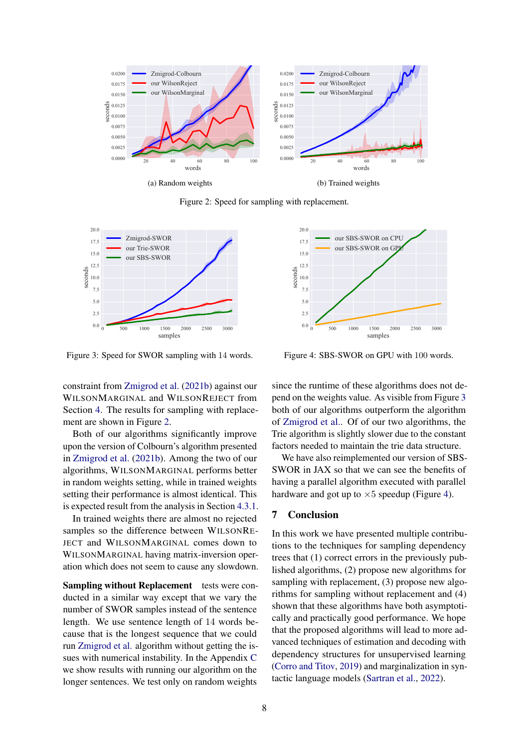<span id="page-7-0"></span>

Figure 2: Speed for sampling with replacement.

<span id="page-7-1"></span>

Figure 3: Speed for SWOR sampling with 14 words.

constraint from [Zmigrod et al.](#page-10-0) [\(2021b\)](#page-10-0) against our WILSONMARGINAL and WILSONREJECT from Section [4.](#page-2-0) The results for sampling with replacement are shown in Figure [2.](#page-7-0)

Both of our algorithms significantly improve upon the version of Colbourn's algorithm presented in [Zmigrod et al.](#page-10-0) [\(2021b\)](#page-10-0). Among the two of our algorithms, WILSONMARGINAL performs better in random weights setting, while in trained weights setting their performance is almost identical. This is expected result from the analysis in Section [4.3.1.](#page-4-1)

In trained weights there are almost no rejected samples so the difference between WILSONRE-JECT and WILSONMARGINAL comes down to WILSONMARGINAL having matrix-inversion operation which does not seem to cause any slowdown.

Sampling without Replacement tests were conducted in a similar way except that we vary the number of SWOR samples instead of the sentence length. We use sentence length of 14 words because that is the longest sequence that we could run [Zmigrod et al.](#page-10-0) algorithm without getting the issues with numerical instability. In the Appendix [C](#page-13-0) we show results with running our algorithm on the longer sentences. We test only on random weights

<span id="page-7-2"></span>

Figure 4: SBS-SWOR on GPU with 100 words.

since the runtime of these algorithms does not depend on the weights value. As visible from Figure [3](#page-7-1) both of our algorithms outperform the algorithm of [Zmigrod et al..](#page-10-0) Of of our two algorithms, the Trie algorithm is slightly slower due to the constant factors needed to maintain the trie data structure.

We have also reimplemented our version of SBS-SWOR in JAX so that we can see the benefits of having a parallel algorithm executed with parallel hardware and got up to  $\times 5$  speedup (Figure [4\)](#page-7-2).

## 7 Conclusion

In this work we have presented multiple contributions to the techniques for sampling dependency trees that (1) correct errors in the previously published algorithms, (2) propose new algorithms for sampling with replacement, (3) propose new algorithms for sampling without replacement and (4) shown that these algorithms have both asymptotically and practically good performance. We hope that the proposed algorithms will lead to more advanced techniques of estimation and decoding with dependency structures for unsupervised learning [\(Corro and Titov,](#page-8-1) [2019\)](#page-8-1) and marginalization in syntactic language models [\(Sartran et al.,](#page-10-10) [2022\)](#page-10-10).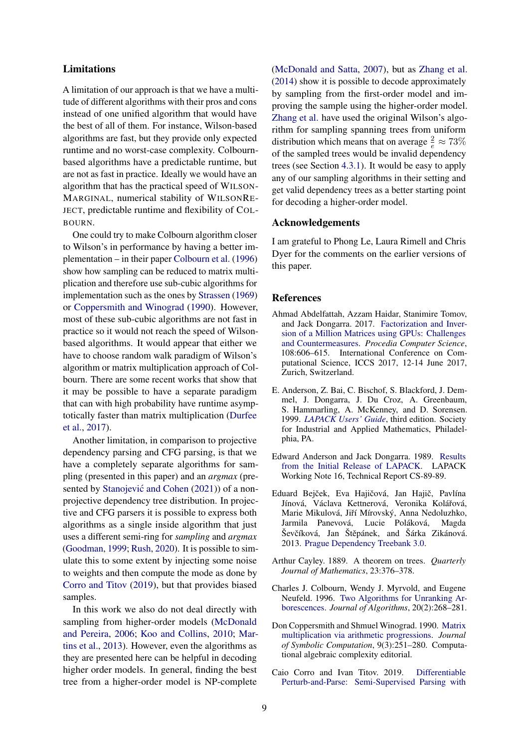## Limitations

A limitation of our approach is that we have a multitude of different algorithms with their pros and cons instead of one unified algorithm that would have the best of all of them. For instance, Wilson-based algorithms are fast, but they provide only expected runtime and no worst-case complexity. Colbournbased algorithms have a predictable runtime, but are not as fast in practice. Ideally we would have an algorithm that has the practical speed of WILSON-MARGINAL, numerical stability of WILSONRE-JECT, predictable runtime and flexibility of COL-BOURN.

One could try to make Colbourn algorithm closer to Wilson's in performance by having a better implementation – in their paper [Colbourn et al.](#page-8-2) [\(1996\)](#page-8-2) show how sampling can be reduced to matrix multiplication and therefore use sub-cubic algorithms for implementation such as the ones by [Strassen](#page-10-11) [\(1969\)](#page-10-11) or [Coppersmith and Winograd](#page-8-7) [\(1990\)](#page-8-7). However, most of these sub-cubic algorithms are not fast in practice so it would not reach the speed of Wilsonbased algorithms. It would appear that either we have to choose random walk paradigm of Wilson's algorithm or matrix multiplication approach of Colbourn. There are some recent works that show that it may be possible to have a separate paradigm that can with high probability have runtime asymptotically faster than matrix multiplication [\(Durfee](#page-9-13) [et al.,](#page-9-13) [2017\)](#page-9-13).

Another limitation, in comparison to projective dependency parsing and CFG parsing, is that we have a completely separate algorithms for sampling (presented in this paper) and an *argmax* (pre-sented by Stanojević and Cohen [\(2021\)](#page-10-4)) of a nonprojective dependency tree distribution. In projective and CFG parsers it is possible to express both algorithms as a single inside algorithm that just uses a different semi-ring for *sampling* and *argmax* [\(Goodman,](#page-9-14) [1999;](#page-9-14) [Rush,](#page-10-12) [2020\)](#page-10-12). It is possible to simulate this to some extent by injecting some noise to weights and then compute the mode as done by [Corro and Titov](#page-8-1) [\(2019\)](#page-8-1), but that provides biased samples.

In this work we also do not deal directly with sampling from higher-order models [\(McDonald](#page-9-15) [and Pereira,](#page-9-15) [2006;](#page-9-15) [Koo and Collins,](#page-9-16) [2010;](#page-9-16) [Mar](#page-9-17)[tins et al.,](#page-9-17) [2013\)](#page-9-17). However, even the algorithms as they are presented here can be helpful in decoding higher order models. In general, finding the best tree from a higher-order model is NP-complete

[\(McDonald and Satta,](#page-9-18) [2007\)](#page-9-18), but as [Zhang et al.](#page-10-5) [\(2014\)](#page-10-5) show it is possible to decode approximately by sampling from the first-order model and improving the sample using the higher-order model. [Zhang et al.](#page-10-5) have used the original Wilson's algorithm for sampling spanning trees from uniform distribution which means that on average  $\frac{2}{e} \approx 73\%$ of the sampled trees would be invalid dependency trees (see Section [4.3.1\)](#page-4-1). It would be easy to apply any of our sampling algorithms in their setting and get valid dependency trees as a better starting point for decoding a higher-order model.

# Acknowledgements

I am grateful to Phong Le, Laura Rimell and Chris Dyer for the comments on the earlier versions of this paper.

#### References

- <span id="page-8-3"></span>Ahmad Abdelfattah, Azzam Haidar, Stanimire Tomov, and Jack Dongarra. 2017. [Factorization and Inver](https://doi.org/https://doi.org/10.1016/j.procs.2017.05.250)[sion of a Million Matrices using GPUs: Challenges](https://doi.org/https://doi.org/10.1016/j.procs.2017.05.250) [and Countermeasures.](https://doi.org/https://doi.org/10.1016/j.procs.2017.05.250) *Procedia Computer Science*, 108:606–615. International Conference on Computational Science, ICCS 2017, 12-14 June 2017, Zurich, Switzerland.
- <span id="page-8-5"></span>E. Anderson, Z. Bai, C. Bischof, S. Blackford, J. Demmel, J. Dongarra, J. Du Croz, A. Greenbaum, S. Hammarling, A. McKenney, and D. Sorensen. 1999. *[LAPACK Users' Guide](https://www.netlib.org/lapack/lug/)*, third edition. Society for Industrial and Applied Mathematics, Philadelphia, PA.
- <span id="page-8-4"></span>Edward Anderson and Jack Dongarra. 1989. [Results](https://citeseerx.ist.psu.edu/viewdoc/download?doi=10.1.1.625.4275&rep=rep1&type=pdf) [from the Initial Release of LAPACK.](https://citeseerx.ist.psu.edu/viewdoc/download?doi=10.1.1.625.4275&rep=rep1&type=pdf) LAPACK Working Note 16, Technical Report CS-89-89.
- <span id="page-8-0"></span>Eduard Bejček, Eva Hajičová, Jan Hajič, Pavlína Jínová, Václava Kettnerová, Veronika Kolářová, Marie Mikulová, Jiří Mírovský, Anna Nedoluzhko, Jarmila Panevová, Lucie Poláková, Magda Ševčíková, Jan Štěpánek, and Šárka Zikánová. 2013. [Prague Dependency Treebank 3.0.](http://ufal.mff.cuni.cz/pdt3.0/)
- <span id="page-8-6"></span>Arthur Cayley. 1889. A theorem on trees. *Quarterly Journal of Mathematics*, 23:376–378.
- <span id="page-8-2"></span>Charles J. Colbourn, Wendy J. Myrvold, and Eugene Neufeld. 1996. [Two Algorithms for Unranking Ar](https://doi.org/https://doi.org/10.1006/jagm.1996.0014)[borescences.](https://doi.org/https://doi.org/10.1006/jagm.1996.0014) *Journal of Algorithms*, 20(2):268–281.
- <span id="page-8-7"></span>Don Coppersmith and Shmuel Winograd. 1990. [Matrix](https://doi.org/https://doi.org/10.1016/S0747-7171(08)80013-2) [multiplication via arithmetic progressions.](https://doi.org/https://doi.org/10.1016/S0747-7171(08)80013-2) *Journal of Symbolic Computation*, 9(3):251–280. Computational algebraic complexity editorial.
- <span id="page-8-1"></span>Caio Corro and Ivan Titov. 2019. [Differentiable](https://openreview.net/forum?id=BJlgNh0qKQ) [Perturb-and-Parse: Semi-Supervised Parsing with](https://openreview.net/forum?id=BJlgNh0qKQ)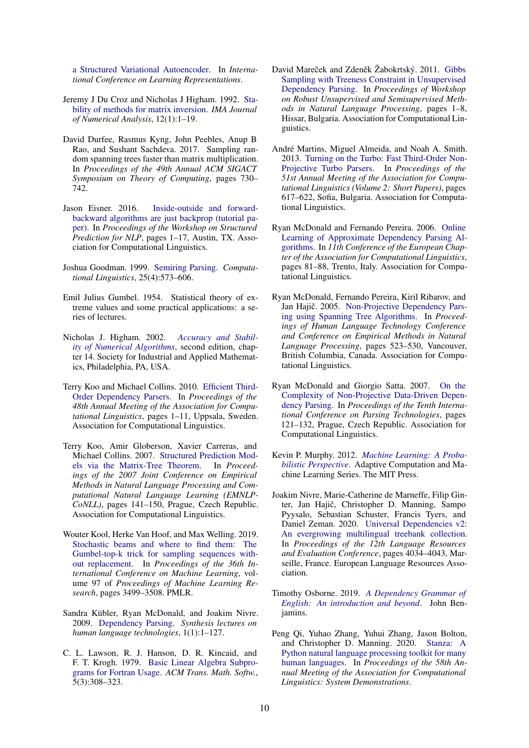[a Structured Variational Autoencoder.](https://openreview.net/forum?id=BJlgNh0qKQ) In *International Conference on Learning Representations*.

- <span id="page-9-7"></span>Jeremy J Du Croz and Nicholas J Higham. 1992. [Sta](http://www.netlib.org/lapack/lawnspdf/lawn27.pdf)[bility of methods for matrix inversion.](http://www.netlib.org/lapack/lawnspdf/lawn27.pdf) *IMA Journal of Numerical Analysis*, 12(1):1–19.
- <span id="page-9-13"></span>David Durfee, Rasmus Kyng, John Peebles, Anup B Rao, and Sushant Sachdeva. 2017. Sampling random spanning trees faster than matrix multiplication. In *Proceedings of the 49th Annual ACM SIGACT Symposium on Theory of Computing*, pages 730– 742.
- <span id="page-9-19"></span>Jason Eisner. 2016. [Inside-outside and forward](https://doi.org/10.18653/v1/W16-5901)[backward algorithms are just backprop \(tutorial pa](https://doi.org/10.18653/v1/W16-5901)[per\).](https://doi.org/10.18653/v1/W16-5901) In *Proceedings of the Workshop on Structured Prediction for NLP*, pages 1–17, Austin, TX. Association for Computational Linguistics.
- <span id="page-9-14"></span>Joshua Goodman. 1999. [Semiring Parsing.](https://aclanthology.org/J99-4004) *Computational Linguistics*, 25(4):573–606.
- <span id="page-9-12"></span>Emil Julius Gumbel. 1954. Statistical theory of extreme values and some practical applications: a series of lectures.
- <span id="page-9-8"></span>Nicholas J. Higham. 2002. *[Accuracy and Stabil](https://doi.org/10.1137/1.9780898718027.ch14)[ity of Numerical Algorithms](https://doi.org/10.1137/1.9780898718027.ch14)*, second edition, chapter 14. Society for Industrial and Applied Mathematics, Philadelphia, PA, USA.
- <span id="page-9-16"></span>Terry Koo and Michael Collins. 2010. [Efficient Third-](https://aclanthology.org/P10-1001)[Order Dependency Parsers.](https://aclanthology.org/P10-1001) In *Proceedings of the 48th Annual Meeting of the Association for Computational Linguistics*, pages 1–11, Uppsala, Sweden. Association for Computational Linguistics.
- <span id="page-9-4"></span>Terry Koo, Amir Globerson, Xavier Carreras, and Michael Collins. 2007. [Structured Prediction Mod](https://www.aclweb.org/anthology/D07-1015)[els via the Matrix-Tree Theorem.](https://www.aclweb.org/anthology/D07-1015) In *Proceedings of the 2007 Joint Conference on Empirical Methods in Natural Language Processing and Computational Natural Language Learning (EMNLP-CoNLL)*, pages 141–150, Prague, Czech Republic. Association for Computational Linguistics.
- <span id="page-9-11"></span>Wouter Kool, Herke Van Hoof, and Max Welling. 2019. [Stochastic beams and where to find them: The](https://proceedings.mlr.press/v97/kool19a.html) [Gumbel-top-k trick for sampling sequences with](https://proceedings.mlr.press/v97/kool19a.html)[out replacement.](https://proceedings.mlr.press/v97/kool19a.html) In *Proceedings of the 36th International Conference on Machine Learning*, volume 97 of *Proceedings of Machine Learning Research*, pages 3499–3508. PMLR.
- <span id="page-9-0"></span>Sandra Kübler, Ryan McDonald, and Joakim Nivre. 2009. [Dependency Parsing.](https://www.morganclaypool.com/doi/abs/10.2200/S00169ED1V01Y200901HLT002) *Synthesis lectures on human language technologies*, 1(1):1–127.
- <span id="page-9-6"></span>C. L. Lawson, R. J. Hanson, D. R. Kincaid, and F. T. Krogh. 1979. [Basic Linear Algebra Subpro](https://doi.org/10.1145/355841.355847)[grams for Fortran Usage.](https://doi.org/10.1145/355841.355847) *ACM Trans. Math. Softw.*, 5(3):308–323.
- <span id="page-9-5"></span>David Mareček and Zdeněk Žabokrtský. 2011. [Gibbs](https://aclanthology.org/W11-3901) [Sampling with Treeness Constraint in Unsupervised](https://aclanthology.org/W11-3901) [Dependency Parsing.](https://aclanthology.org/W11-3901) In *Proceedings of Workshop on Robust Unsupervised and Semisupervised Methods in Natural Language Processing*, pages 1–8, Hissar, Bulgaria. Association for Computational Linguistics.
- <span id="page-9-17"></span>André Martins, Miguel Almeida, and Noah A. Smith. 2013. [Turning on the Turbo: Fast Third-Order Non-](https://aclanthology.org/P13-2109)[Projective Turbo Parsers.](https://aclanthology.org/P13-2109) In *Proceedings of the 51st Annual Meeting of the Association for Computational Linguistics (Volume 2: Short Papers)*, pages 617–622, Sofia, Bulgaria. Association for Computational Linguistics.
- <span id="page-9-15"></span>Ryan McDonald and Fernando Pereira. 2006. [Online](https://aclanthology.org/E06-1011) [Learning of Approximate Dependency Parsing Al](https://aclanthology.org/E06-1011)[gorithms.](https://aclanthology.org/E06-1011) In *11th Conference of the European Chapter of the Association for Computational Linguistics*, pages 81–88, Trento, Italy. Association for Computational Linguistics.
- <span id="page-9-2"></span>Ryan McDonald, Fernando Pereira, Kiril Ribarov, and Jan Hajič. 2005. [Non-Projective Dependency Pars](https://aclanthology.org/H05-1066)[ing using Spanning Tree Algorithms.](https://aclanthology.org/H05-1066) In *Proceedings of Human Language Technology Conference and Conference on Empirical Methods in Natural Language Processing*, pages 523–530, Vancouver, British Columbia, Canada. Association for Computational Linguistics.
- <span id="page-9-18"></span>Ryan McDonald and Giorgio Satta. 2007. [On the](https://aclanthology.org/W07-2216) [Complexity of Non-Projective Data-Driven Depen](https://aclanthology.org/W07-2216)[dency Parsing.](https://aclanthology.org/W07-2216) In *Proceedings of the Tenth International Conference on Parsing Technologies*, pages 121–132, Prague, Czech Republic. Association for Computational Linguistics.
- <span id="page-9-9"></span>Kevin P. Murphy. 2012. *[Machine Learning: A Proba](https://mitpress.mit.edu/books/machine-learning-1)[bilistic Perspective](https://mitpress.mit.edu/books/machine-learning-1)*. Adaptive Computation and Machine Learning Series. The MIT Press.
- <span id="page-9-3"></span>Joakim Nivre, Marie-Catherine de Marneffe, Filip Ginter, Jan Hajič, Christopher D. Manning, Sampo Pyysalo, Sebastian Schuster, Francis Tyers, and Daniel Zeman. 2020. [Universal Dependencies v2:](https://aclanthology.org/2020.lrec-1.497) [An evergrowing multilingual treebank collection.](https://aclanthology.org/2020.lrec-1.497) In *Proceedings of the 12th Language Resources and Evaluation Conference*, pages 4034–4043, Marseille, France. European Language Resources Association.
- <span id="page-9-1"></span>Timothy Osborne. 2019. *[A Dependency Grammar of](https://www.jbe-platform.com/content/books/9789027262288) [English: An introduction and beyond](https://www.jbe-platform.com/content/books/9789027262288)*. John Benjamins.
- <span id="page-9-10"></span>Peng Qi, Yuhao Zhang, Yuhui Zhang, Jason Bolton, and Christopher D. Manning. 2020. [Stanza: A](https://nlp.stanford.edu/pubs/qi2020stanza.pdf) [Python natural language processing toolkit for many](https://nlp.stanford.edu/pubs/qi2020stanza.pdf) [human languages.](https://nlp.stanford.edu/pubs/qi2020stanza.pdf) In *Proceedings of the 58th Annual Meeting of the Association for Computational Linguistics: System Demonstrations*.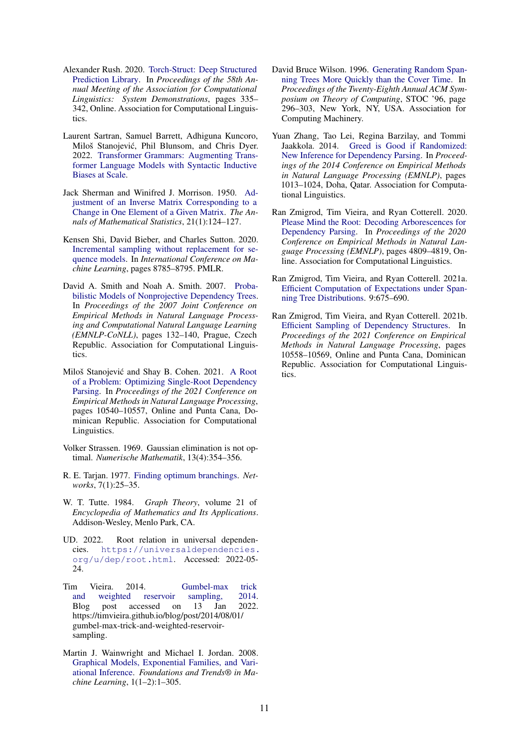- <span id="page-10-12"></span>Alexander Rush. 2020. [Torch-Struct: Deep Structured](https://doi.org/10.18653/v1/2020.acl-demos.38) [Prediction Library.](https://doi.org/10.18653/v1/2020.acl-demos.38) In *Proceedings of the 58th Annual Meeting of the Association for Computational Linguistics: System Demonstrations*, pages 335– 342, Online. Association for Computational Linguistics.
- <span id="page-10-10"></span>Laurent Sartran, Samuel Barrett, Adhiguna Kuncoro, Miloš Stanojević, Phil Blunsom, and Chris Dyer. 2022. [Transformer Grammars: Augmenting Trans](http://arxiv.org/abs/2203.00633)[former Language Models with Syntactic Inductive](http://arxiv.org/abs/2203.00633) [Biases at Scale.](http://arxiv.org/abs/2203.00633)
- <span id="page-10-7"></span>Jack Sherman and Winifred J. Morrison. 1950. [Ad](http://www.jstor.org/stable/2236561)[justment of an Inverse Matrix Corresponding to a](http://www.jstor.org/stable/2236561) [Change in One Element of a Given Matrix.](http://www.jstor.org/stable/2236561) *The Annals of Mathematical Statistics*, 21(1):124–127.
- <span id="page-10-8"></span>Kensen Shi, David Bieber, and Charles Sutton. 2020. [Incremental sampling without replacement for se](https://proceedings.mlr.press/v119/shi20a.html)[quence models.](https://proceedings.mlr.press/v119/shi20a.html) In *International Conference on Machine Learning*, pages 8785–8795. PMLR.
- <span id="page-10-14"></span>David A. Smith and Noah A. Smith. 2007. [Proba](https://aclanthology.org/D07-1014)[bilistic Models of Nonprojective Dependency Trees.](https://aclanthology.org/D07-1014) In *Proceedings of the 2007 Joint Conference on Empirical Methods in Natural Language Processing and Computational Natural Language Learning (EMNLP-CoNLL)*, pages 132–140, Prague, Czech Republic. Association for Computational Linguistics.
- <span id="page-10-4"></span>Miloš Stanojević and Shay B. Cohen. 2021. [A Root](https://aclanthology.org/2021.emnlp-main.823) [of a Problem: Optimizing Single-Root Dependency](https://aclanthology.org/2021.emnlp-main.823) [Parsing.](https://aclanthology.org/2021.emnlp-main.823) In *Proceedings of the 2021 Conference on Empirical Methods in Natural Language Processing*, pages 10540–10557, Online and Punta Cana, Dominican Republic. Association for Computational Linguistics.
- <span id="page-10-11"></span>Volker Strassen. 1969. Gaussian elimination is not optimal. *Numerische Mathematik*, 13(4):354–356.
- <span id="page-10-1"></span>R. E. Tarjan. 1977. [Finding optimum branchings.](https://doi.org/https://doi.org/10.1002/net.3230070103) *Networks*, 7(1):25–35.
- <span id="page-10-13"></span>W. T. Tutte. 1984. *Graph Theory*, volume 21 of *Encyclopedia of Mathematics and Its Applications*. Addison-Wesley, Menlo Park, CA.
- <span id="page-10-2"></span>UD. 2022. Root relation in universal dependencies. [https://universaldependencies.](https://universaldependencies.org/u/dep/root.html) [org/u/dep/root.html](https://universaldependencies.org/u/dep/root.html). Accessed: 2022-05- 24.
- <span id="page-10-9"></span>Tim Vieira. 2014. [Gumbel-max trick](https://timvieira.github.io/blog/post/2014/08/01/gumbel-max-trick-and-weighted-reservoir-sampling) [and weighted reservoir sampling, 2014.](https://timvieira.github.io/blog/post/2014/08/01/gumbel-max-trick-and-weighted-reservoir-sampling) Blog post accessed on 13 Jan 2022. https://timvieira.github.io/blog/post/2014/08/01/ gumbel-max-trick-and-weighted-reservoirsampling.
- <span id="page-10-15"></span>Martin J. Wainwright and Michael I. Jordan. 2008. [Graphical Models, Exponential Families, and Vari](https://doi.org/10.1561/2200000001)[ational Inference.](https://doi.org/10.1561/2200000001) *Foundations and Trends® in Machine Learning*, 1(1–2):1–305.
- <span id="page-10-6"></span>David Bruce Wilson. 1996. [Generating Random Span](https://doi.org/10.1145/237814.237880)[ning Trees More Quickly than the Cover Time.](https://doi.org/10.1145/237814.237880) In *Proceedings of the Twenty-Eighth Annual ACM Symposium on Theory of Computing*, STOC '96, page 296–303, New York, NY, USA. Association for Computing Machinery.
- <span id="page-10-5"></span>Yuan Zhang, Tao Lei, Regina Barzilay, and Tommi Jaakkola. 2014. [Greed is Good if Randomized:](https://doi.org/10.3115/v1/D14-1109) [New Inference for Dependency Parsing.](https://doi.org/10.3115/v1/D14-1109) In *Proceedings of the 2014 Conference on Empirical Methods in Natural Language Processing (EMNLP)*, pages 1013–1024, Doha, Qatar. Association for Computational Linguistics.
- <span id="page-10-3"></span>Ran Zmigrod, Tim Vieira, and Ryan Cotterell. 2020. [Please Mind the Root: Decoding Arborescences for](https://doi.org/10.18653/v1/2020.emnlp-main.390) [Dependency Parsing.](https://doi.org/10.18653/v1/2020.emnlp-main.390) In *Proceedings of the 2020 Conference on Empirical Methods in Natural Language Processing (EMNLP)*, pages 4809–4819, Online. Association for Computational Linguistics.
- <span id="page-10-16"></span>Ran Zmigrod, Tim Vieira, and Ryan Cotterell. 2021a. [Efficient Computation of Expectations under Span](https://direct.mit.edu/tacl/article/doi/10.1162/tacl_a_00391/102843/Efficient-Computation-of-Expectations-under)[ning Tree Distributions.](https://direct.mit.edu/tacl/article/doi/10.1162/tacl_a_00391/102843/Efficient-Computation-of-Expectations-under) 9:675–690.
- <span id="page-10-0"></span>Ran Zmigrod, Tim Vieira, and Ryan Cotterell. 2021b. [Efficient Sampling of Dependency Structures.](https://aclanthology.org/2021.emnlp-main.824) In *Proceedings of the 2021 Conference on Empirical Methods in Natural Language Processing*, pages 10558–10569, Online and Punta Cana, Dominican Republic. Association for Computational Linguistics.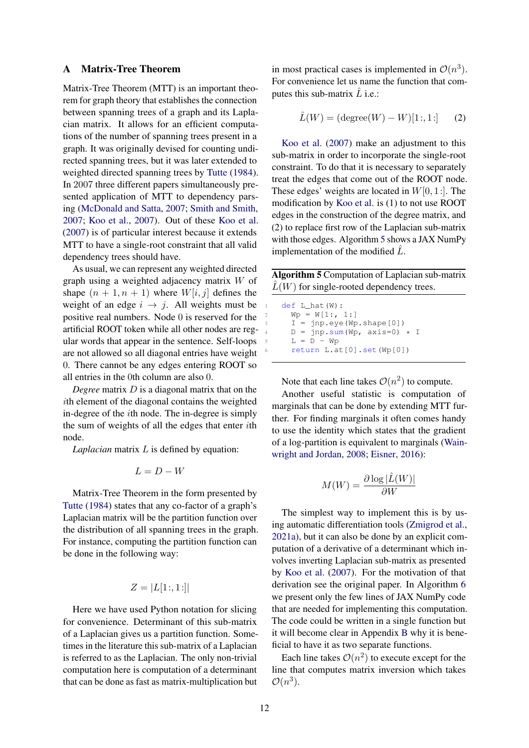#### <span id="page-11-0"></span>A Matrix-Tree Theorem

Matrix-Tree Theorem (MTT) is an important theorem for graph theory that establishes the connection between spanning trees of a graph and its Laplacian matrix. It allows for an efficient computations of the number of spanning trees present in a graph. It was originally devised for counting undirected spanning trees, but it was later extended to weighted directed spanning trees by [Tutte](#page-10-13) [\(1984\)](#page-10-13). In 2007 three different papers simultaneously presented application of MTT to dependency parsing [\(McDonald and Satta,](#page-9-18) [2007;](#page-9-18) [Smith and Smith,](#page-10-14) [2007;](#page-10-14) [Koo et al.,](#page-9-4) [2007\)](#page-9-4). Out of these [Koo et al.](#page-9-4) [\(2007\)](#page-9-4) is of particular interest because it extends MTT to have a single-root constraint that all valid dependency trees should have.

As usual, we can represent any weighted directed graph using a weighted adjacency matrix W of shape  $(n + 1, n + 1)$  where  $W[i, j]$  defines the weight of an edge  $i \rightarrow j$ . All weights must be positive real numbers. Node 0 is reserved for the artificial ROOT token while all other nodes are regular words that appear in the sentence. Self-loops are not allowed so all diagonal entries have weight 0. There cannot be any edges entering ROOT so all entries in the 0th column are also 0.

*Degree* matrix D is a diagonal matrix that on the ith element of the diagonal contains the weighted in-degree of the ith node. The in-degree is simply the sum of weights of all the edges that enter ith node.

*Laplacian* matrix L is defined by equation:

$$
L = D - W
$$

Matrix-Tree Theorem in the form presented by [Tutte](#page-10-13) [\(1984\)](#page-10-13) states that any co-factor of a graph's Laplacian matrix will be the partition function over the distribution of all spanning trees in the graph. For instance, computing the partition function can be done in the following way:

$$
Z = |L[1:,1:]|
$$

Here we have used Python notation for slicing for convenience. Determinant of this sub-matrix of a Laplacian gives us a partition function. Sometimes in the literature this sub-matrix of a Laplacian is referred to as the Laplacian. The only non-trivial computation here is computation of a determinant that can be done as fast as matrix-multiplication but

in most practical cases is implemented in  $\mathcal{O}(n^3)$ . For convenience let us name the function that computes this sub-matrix  $\ddot{L}$  i.e.:

$$
\hat{L}(W) = (\text{degree}(W) - W)[1:, 1:] \qquad (2)
$$

[Koo et al.](#page-9-4) [\(2007\)](#page-9-4) make an adjustment to this sub-matrix in order to incorporate the single-root constraint. To do that it is necessary to separately treat the edges that come out of the ROOT node. These edges' weights are located in  $W[0, 1:]$ . The modification by [Koo et al.](#page-9-4) is (1) to not use ROOT edges in the construction of the degree matrix, and (2) to replace first row of the Laplacian sub-matrix with those edges. Algorithm [5](#page-11-1) shows a JAX NumPy implementation of the modified  $L$ .

<span id="page-11-1"></span>Algorithm 5 Computation of Laplacian sub-matrix  $L(W)$  for single-rooted dependency trees.

 $def L_hat(W):$  $Wp = W[1:, 1:]$  $I = jnp.\text{eye}(Wp.\text{shape}[0])$  $D = jnp.sum(Wp, axis=0) * I$  $L = D - Wp$ <sup>6</sup> return L.at[0].set(Wp[0])

Note that each line takes  $\mathcal{O}(n^2)$  to compute.

Another useful statistic is computation of marginals that can be done by extending MTT further. For finding marginals it often comes handy to use the identity which states that the gradient of a log-partition is equivalent to marginals [\(Wain](#page-10-15)[wright and Jordan,](#page-10-15) [2008;](#page-10-15) [Eisner,](#page-9-19) [2016\)](#page-9-19):

$$
M(W) = \frac{\partial \log |\hat{L}(W)|}{\partial W}
$$

The simplest way to implement this is by using automatic differentiation tools [\(Zmigrod et al.,](#page-10-16) [2021a\)](#page-10-16), but it can also be done by an explicit computation of a derivative of a determinant which involves inverting Laplacian sub-matrix as presented by [Koo et al.](#page-9-4) [\(2007\)](#page-9-4). For the motivation of that derivation see the original paper. In Algorithm [6](#page-12-1) we present only the few lines of JAX NumPy code that are needed for implementing this computation. The code could be written in a single function but it will become clear in Appendix [B](#page-12-0) why it is beneficial to have it as two separate functions.

Each line takes  $\mathcal{O}(n^2)$  to execute except for the line that computes matrix inversion which takes  $\mathcal{O}(n^3)$ .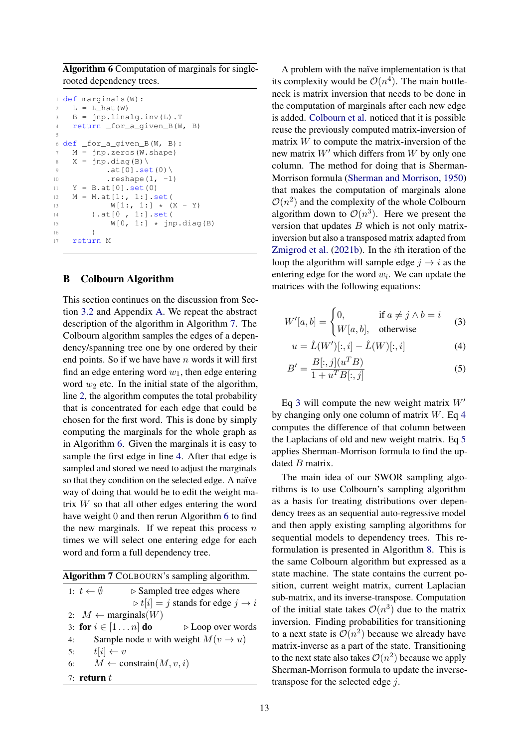<span id="page-12-1"></span>Algorithm 6 Computation of marginals for singlerooted dependency trees.

```
1 def marginals(W):
2 \quad L = L_hat(W)B = \text{inp.linalq.inv(L)}.T4 return _for_a_given_B(W, B)
5
6 def _for_a_given_B(W, B):
    M = \text{inv}.\text{zeros} (W.shape)
8 X = jnp.diag(B)9 .at[0].set(0)10 . reshape(1, -1)
11 Y = B.at[0].set(0)
12 M = M.at[1:, 1:].set(13 W[1; 1:] \times (X - Y)<br>14 ) at [0, 1:] set (
        ).at[0, 1:].set(
15 W[0, 1:] * jnp.diag(B)
16 )
17 return M
```
#### <span id="page-12-0"></span>B Colbourn Algorithm

This section continues on the discussion from Section [3.2](#page-2-4) and Appendix [A.](#page-11-0) We repeat the abstract description of the algorithm in Algorithm [7.](#page-12-2) The Colbourn algorithm samples the edges of a dependency/spanning tree one by one ordered by their end points. So if we have have  $n$  words it will first find an edge entering word  $w_1$ , then edge entering word  $w_2$  etc. In the initial state of the algorithm, line [2,](#page-12-2) the algorithm computes the total probability that is concentrated for each edge that could be chosen for the first word. This is done by simply computing the marginals for the whole graph as in Algorithm [6.](#page-12-1) Given the marginals it is easy to sample the first edge in line [4.](#page-12-2) After that edge is sampled and stored we need to adjust the marginals so that they condition on the selected edge. A naïve way of doing that would be to edit the weight matrix  $W$  so that all other edges entering the word have weight 0 and then rerun Algorithm [6](#page-12-1) to find the new marginals. If we repeat this process  $n$ times we will select one entering edge for each word and form a full dependency tree.

<span id="page-12-2"></span>

|                                |                                           | Algorithm 7 COLBOURN's sampling algorithm.                  |  |  |
|--------------------------------|-------------------------------------------|-------------------------------------------------------------|--|--|
| 1: $t \leftarrow \emptyset$    | $\triangleright$ Sampled tree edges where |                                                             |  |  |
|                                |                                           | $\triangleright t[i] = j$ stands for edge $j \rightarrow i$ |  |  |
| 2: $M \leftarrow$ marginals(W) |                                           |                                                             |  |  |
| 3: for $i \in [1 \dots n]$ do  |                                           | $\triangleright$ Loop over words                            |  |  |
| 4:                             |                                           | Sample node v with weight $M(v \rightarrow u)$              |  |  |
| $t[i] \leftarrow v$<br>5:      |                                           |                                                             |  |  |
| 6:                             | $M \leftarrow$ constrain $(M, v, i)$      |                                                             |  |  |
| 7: return $t$                  |                                           |                                                             |  |  |

A problem with the naïve implementation is that its complexity would be  $\mathcal{O}(n^4)$ . The main bottleneck is matrix inversion that needs to be done in the computation of marginals after each new edge is added. [Colbourn et al.](#page-8-2) noticed that it is possible reuse the previously computed matrix-inversion of matrix  $W$  to compute the matrix-inversion of the new matrix  $W'$  which differs from  $W$  by only one column. The method for doing that is Sherman-Morrison formula [\(Sherman and Morrison,](#page-10-7) [1950\)](#page-10-7) that makes the computation of marginals alone  $\mathcal{O}(n^2)$  and the complexity of the whole Colbourn algorithm down to  $\mathcal{O}(n^3)$ . Here we present the version that updates  $B$  which is not only matrixinversion but also a transposed matrix adapted from [Zmigrod et al.](#page-10-0) [\(2021b\)](#page-10-0). In the ith iteration of the loop the algorithm will sample edge  $j \rightarrow i$  as the entering edge for the word  $w_i$ . We can update the matrices with the following equations:

$$
W'[a, b] = \begin{cases} 0, & \text{if } a \neq j \land b = i \\ W[a, b], & \text{otherwise} \end{cases} \tag{3}
$$

<span id="page-12-4"></span><span id="page-12-3"></span>
$$
u = \hat{L}(W')[:, i] - \hat{L}(W)[:, i]
$$
 (4)

<span id="page-12-5"></span>
$$
B' = \frac{B[:, j](u^T B)}{1 + u^T B[:, j]}
$$
 (5)

Eq [3](#page-12-3) will compute the new weight matrix  $W'$ by changing only one column of matrix  $W$ . Eq [4](#page-12-4) computes the difference of that column between the Laplacians of old and new weight matrix. Eq [5](#page-12-5) applies Sherman-Morrison formula to find the updated B matrix.

The main idea of our SWOR sampling algorithms is to use Colbourn's sampling algorithm as a basis for treating distributions over dependency trees as an sequential auto-regressive model and then apply existing sampling algorithms for sequential models to dependency trees. This reformulation is presented in Algorithm [8.](#page-13-1) This is the same Colbourn algorithm but expressed as a state machine. The state contains the current position, current weight matrix, current Laplacian sub-matrix, and its inverse-transpose. Computation of the initial state takes  $\mathcal{O}(n^3)$  due to the matrix inversion. Finding probabilities for transitioning to a next state is  $\mathcal{O}(n^2)$  because we already have matrix-inverse as a part of the state. Transitioning to the next state also takes  $\mathcal{O}(n^2)$  because we apply Sherman-Morrison formula to update the inversetranspose for the selected edge  $i$ .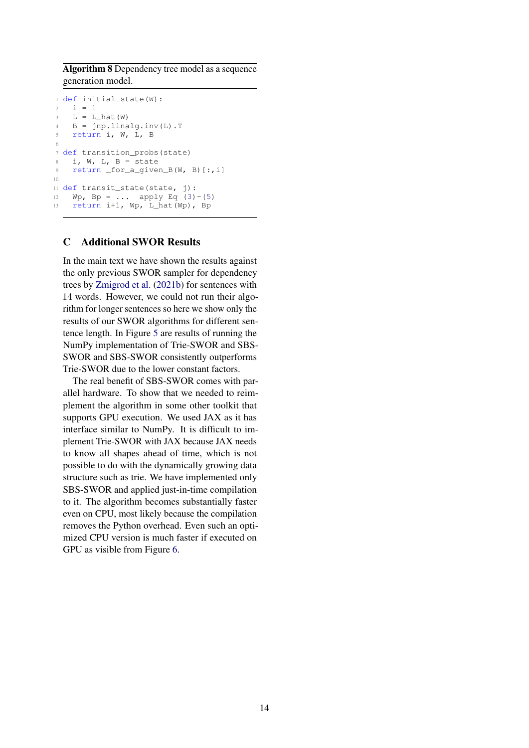<span id="page-13-1"></span>Algorithm 8 Dependency tree model as a sequence generation model.

```
1 def initial_state(W):
2 \quad i = 13 L = L hat (W)\theta = \text{inp.linalq.inv(L)}.T5 return i, W, L, B
6
7 def transition_probs(state)
8 i, W, L, B = state
9 return _for_a_given_B(W, B)[:,i]
10
11 def transit_state(state, j):
12 Wp(3)(5)
13 return i+1, Wp, L_hat(Wp), Bp
```
# <span id="page-13-0"></span>C Additional SWOR Results

In the main text we have shown the results against the only previous SWOR sampler for dependency trees by [Zmigrod et al.](#page-10-0) [\(2021b\)](#page-10-0) for sentences with 14 words. However, we could not run their algorithm for longer sentences so here we show only the results of our SWOR algorithms for different sentence length. In Figure [5](#page-14-0) are results of running the NumPy implementation of Trie-SWOR and SBS-SWOR and SBS-SWOR consistently outperforms Trie-SWOR due to the lower constant factors.

The real benefit of SBS-SWOR comes with parallel hardware. To show that we needed to reimplement the algorithm in some other toolkit that supports GPU execution. We used JAX as it has interface similar to NumPy. It is difficult to implement Trie-SWOR with JAX because JAX needs to know all shapes ahead of time, which is not possible to do with the dynamically growing data structure such as trie. We have implemented only SBS-SWOR and applied just-in-time compilation to it. The algorithm becomes substantially faster even on CPU, most likely because the compilation removes the Python overhead. Even such an optimized CPU version is much faster if executed on GPU as visible from Figure [6.](#page-14-1)